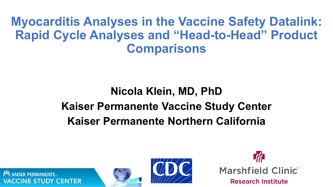**Myocarditis Analyses in the Vaccine Safety Datalink: Rapid Cycle Analyses and "Head-to-Head" Product Comparisons**

## **Nicola Klein, MD, PhD Kaiser Permanente Vaccine Study Center Kaiser Permanente Northern California**

**ISER PERMANENTE CINE STUDY CENTER** 



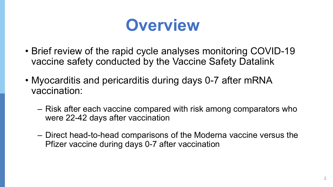# **Overview**

- Brief review of the rapid cycle analyses monitoring COVID-19 vaccine safety conducted by the Vaccine Safety Datalink
- Myocarditis and pericarditis during days 0-7 after mRNA vaccination:
	- ‒ Risk after each vaccine compared with risk among comparators who were 22-42 days after vaccination
	- ‒ Direct head-to-head comparisons of the Moderna vaccine versus the Pfizer vaccine during days 0-7 after vaccination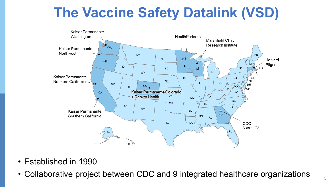## **The Vaccine Safety Datalink (VSD)**



- Established in 1990
- Collaborative project between CDC and 9 integrated healthcare organizations  $\frac{3}{3}$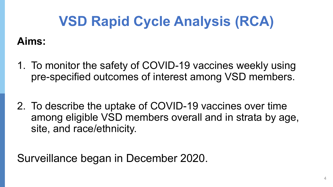## **VSD Rapid Cycle Analysis (RCA)**

### **Aims:**

- 1. To monitor the safety of COVID-19 vaccines weekly using pre-specified outcomes of interest among VSD members.
- 2. To describe the uptake of COVID-19 vaccines over time among eligible VSD members overall and in strata by age, site, and race/ethnicity.

Surveillance began in December 2020.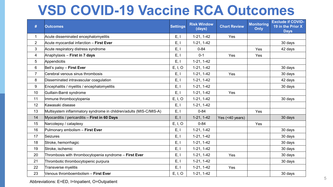## **VSD COVID-19 Vaccine RCA Outcomes**

| #              | <b>Outcomes</b>                                                    | <b>Settings</b> | <b>Risk Window</b><br>(days) | <b>Chart Review</b> | <b>Monitoring</b><br>Only | <b>Exclude if COVID-</b><br>19 in the Prior X<br><b>Days</b> |
|----------------|--------------------------------------------------------------------|-----------------|------------------------------|---------------------|---------------------------|--------------------------------------------------------------|
| $\mathbf 1$    | Acute disseminated encephalomyelitis                               | E, I            | $1-21, 1-42$                 | Yes                 |                           |                                                              |
| $\overline{2}$ | Acute myocardial infarction - First Ever                           | E, I            | $1-21, 1-42$                 |                     |                           | 30 days                                                      |
| 3              | Acute respiratory distress syndrome                                | E, I            | $0 - 84$                     |                     | Yes                       | 42 days                                                      |
| 4              | Anaphylaxis - First in 7 days                                      | E, I            | $0 - 1$                      | Yes                 | Yes                       |                                                              |
| 5              | Appendicitis                                                       | E, I            | $1-21, 1-42$                 |                     |                           |                                                              |
| 6              | Bell's palsy - First Ever                                          | E, I, O         | $1-21, 1-42$                 |                     |                           | 30 days                                                      |
| $\overline{7}$ | Cerebral venous sinus thrombosis                                   | E, I            | $1-21, 1-42$                 | Yes                 |                           | 30 days                                                      |
| 8              | Disseminated intravascular coagulation                             | E, I            | $1-21, 1-42$                 |                     |                           | 42 days                                                      |
| 9              | Encephalitis / myelitis / encephalomyelitis                        | E, I            | $1-21, 1-42$                 |                     |                           | 30 days                                                      |
| 10             | Guillain-Barré syndrome                                            | E, I            | $1-21, 1-42$                 | Yes                 |                           |                                                              |
| 11             | Immune thrombocytopenia                                            | E, I, O         | $1-21, 1-42$                 |                     |                           | 30 days                                                      |
| 12             | Kawasaki disease                                                   | E, I            | $1-21, 1-42$                 |                     |                           |                                                              |
| 13             | Multisystem inflammatory syndrome in children/adults (MIS-C/MIS-A) | E, I            | $0 - 84$                     |                     | Yes                       |                                                              |
| 14             | Myocarditis / pericarditis - First in 60 Days                      | E, I            | $1-21, 1-42$                 | Yes (<40 years)     |                           | 30 days                                                      |
| 15             | Narcolepsy / cataplexy                                             | E, I, O         | $0 - 84$                     |                     | Yes                       |                                                              |
| 16             | Pulmonary embolism - First Ever                                    | E, I            | $1-21, 1-42$                 |                     |                           | 30 days                                                      |
| 17             | Seizures                                                           | E, I            | $1-21, 1-42$                 |                     |                           | 30 days                                                      |
| 18             | Stroke, hemorrhagic                                                | E, I            | $1-21, 1-42$                 |                     |                           | 30 days                                                      |
| 19             | Stroke, ischemic                                                   | E, I            | $1-21, 1-42$                 |                     |                           | 30 days                                                      |
| 20             | Thrombosis with thrombocytopenia syndrome - First Ever             | E, I            | $1-21, 1-42$                 | Yes                 |                           | 30 days                                                      |
| 21             | Thrombotic thrombocytopenic purpura                                | E, I            | $1-21, 1-42$                 |                     |                           | 30 days                                                      |
| 22             | Transverse myelitis                                                | E, I            | $1-21, 1-42$                 | Yes                 |                           |                                                              |
| 23             | Venous thromboembolism - First Ever                                | E, I, O         | $1-21, 1-42$                 |                     |                           | 30 days                                                      |

Abbreviations: E=ED, I=Inpatient, O=Outpatient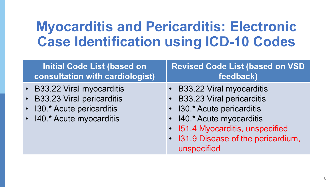## **Myocarditis and Pericarditis: Electronic Case Identification using ICD-10 Codes**

| <b>Initial Code List (based on</b>                                                                                   | <b>Revised Code List (based on VSD</b>                                                                                                                                                                         |
|----------------------------------------------------------------------------------------------------------------------|----------------------------------------------------------------------------------------------------------------------------------------------------------------------------------------------------------------|
| consultation with cardiologist)                                                                                      | feedback)                                                                                                                                                                                                      |
| • B33.22 Viral myocarditis<br>• B33.23 Viral pericarditis<br>• 130.* Acute pericarditis<br>• I40.* Acute myocarditis | • B33.22 Viral myocarditis<br>• B33.23 Viral pericarditis<br>• 130.* Acute pericarditis<br>• I40.* Acute myocarditis<br>• I51.4 Myocarditis, unspecified<br>• I31.9 Disease of the pericardium,<br>unspecified |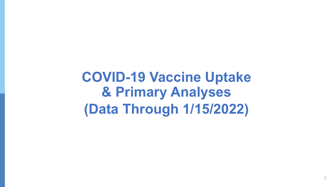**COVID-19 Vaccine Uptake & Primary Analyses (Data Through 1/15/2022)**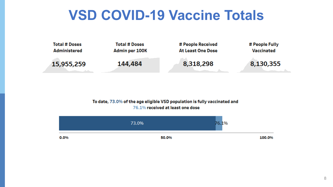## **VSD COVID-19 Vaccine Totals**



#### To date, 73.0% of the age eligible VSD population is fully vaccinated and 76.1% received at least one dose

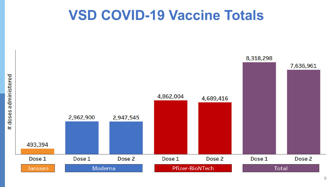## **VSD COVID-19 Vaccine Totals**

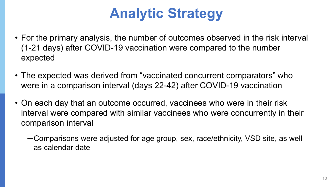## **Analytic Strategy**

- For the primary analysis, the number of outcomes observed in the risk interval (1-21 days) after COVID-19 vaccination were compared to the number expected
- The expected was derived from "vaccinated concurrent comparators" who were in a comparison interval (days 22-42) after COVID-19 vaccination
- On each day that an outcome occurred, vaccinees who were in their risk interval were compared with similar vaccinees who were concurrently in their comparison interval
	- ─Comparisons were adjusted for age group, sex, race/ethnicity, VSD site, as well as calendar date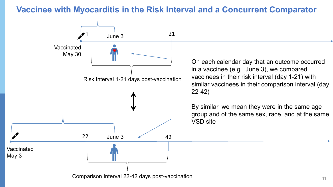#### **Vaccinee with Myocarditis in the Risk Interval and a Concurrent Comparator**



Comparison Interval 22-42 days post-vaccination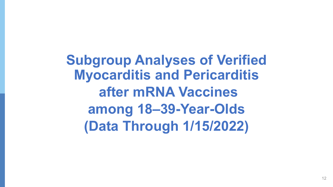**Subgroup Analyses of Verified Myocarditis and Pericarditis after mRNA Vaccines among 18–39-Year-Olds (Data Through 1/15/2022)**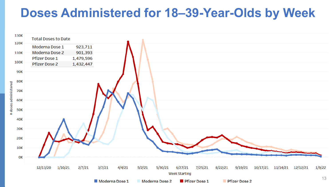### **Doses Administered for 18–39-Year-Olds by Week**

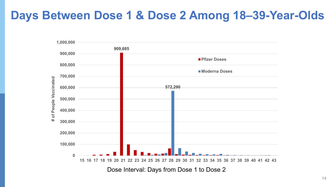### **Days Between Dose 1 & Dose 2 Among 18–39-Year-Olds**

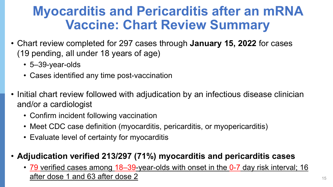## **Myocarditis and Pericarditis after an mRNA Vaccine: Chart Review Summary**

- Chart review completed for 297 cases through **January 15, 2022** for cases (19 pending, all under 18 years of age)
	- 5–39-year-olds
	- Cases identified any time post-vaccination
- Initial chart review followed with adjudication by an infectious disease clinician and/or a cardiologist
	- Confirm incident following vaccination
	- Meet CDC case definition (myocarditis, pericarditis, or myopericarditis)
	- Evaluate level of certainty for myocarditis

#### • **Adjudication verified 213/297 (71%) myocarditis and pericarditis cases**

• 79 verified cases among 18–39-year-olds with onset in the 0-7 day risk interval; 16 after dose 1 and 63 after dose 2 15 and 15 and 15 and 15 and 15 and 15 and 15 and 15 and 15 and 15 and 15 and 15 and 15 and 15 and 15 and 15 and 15 and 15 and 15 and 15 and 15 and 15 and 15 and 15 and 15 and 15 and 15 and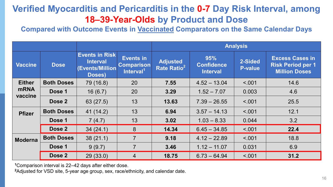#### **Verified Myocarditis and Pericarditis in the 0-7 Day Risk Interval, among 18–39-Year-Olds by Product and Dose**

**Compared with Outcome Events in Vaccinated Comparators on the Same Calendar Days** 

|                        |                   |                                                                             |                                                                | <b>Analysis</b>                            |                                             |                           |                                                                            |  |  |
|------------------------|-------------------|-----------------------------------------------------------------------------|----------------------------------------------------------------|--------------------------------------------|---------------------------------------------|---------------------------|----------------------------------------------------------------------------|--|--|
| <b>Vaccine</b>         | <b>Dose</b>       | <b>Events in Risk</b><br><b>Interval</b><br><b>Events/Million</b><br>Doses) | <b>Events in</b><br><b>Comparison</b><br>Interval <sup>1</sup> | <b>Adjusted</b><br>Rate Ratio <sup>2</sup> | 95%<br><b>Confidence</b><br><b>Interval</b> | 2-Sided<br><b>P-value</b> | <b>Excess Cases in</b><br><b>Risk Period per 1</b><br><b>Million Doses</b> |  |  |
| <b>Either</b>          | <b>Both Doses</b> | 79 (16.8)                                                                   | 20                                                             | 7.55                                       | $4.52 - 13.04$                              | < .001                    | 14.6                                                                       |  |  |
| <b>mRNA</b><br>vaccine | Dose 1            | 16(6.7)                                                                     | 20                                                             | 3.29                                       | $1.52 - 7.07$                               | 0.003                     | 4.6                                                                        |  |  |
|                        | Dose 2            | 63 (27.5)                                                                   | 13                                                             | 13.63                                      | $7.39 - 26.55$                              | < 0.001                   | 25.5                                                                       |  |  |
| <b>Pfizer</b>          | <b>Both Doses</b> | 41(14.2)                                                                    | 13                                                             | 6.94                                       | $3.57 - 14.13$                              | < 001                     | 12.1                                                                       |  |  |
|                        | Dose 1            | 7(4.7)                                                                      | 13                                                             | 3.02                                       | $1.03 - 8.33$                               | 0.044                     | 3.2                                                                        |  |  |
|                        | Dose 2            | 34(24.1)                                                                    | 8                                                              | 14.34                                      | $6.45 - 34.85$                              | < 0.01                    | 22.4                                                                       |  |  |
| <b>Moderna</b>         | <b>Both Doses</b> | 38(21.1)                                                                    | $\overline{7}$                                                 | 9.18                                       | $4.12 - 22.89$                              | < 0.01                    | 18.8                                                                       |  |  |
|                        | Dose 1            | 9(9.7)                                                                      | $\overline{7}$                                                 | 3.46                                       | $1.12 - 11.07$                              | 0.031                     | 6.9                                                                        |  |  |
|                        | Dose 2            | 29(33.0)                                                                    | $\overline{4}$                                                 | 18.75                                      | $6.73 - 64.94$                              | < 0.001                   | 31.2                                                                       |  |  |

**<sup>1</sup>**Comparison interval is 22–42 days after either dose.

**<sup>2</sup>**Adjusted for VSD site, 5-year age group, sex, race/ethnicity, and calendar date.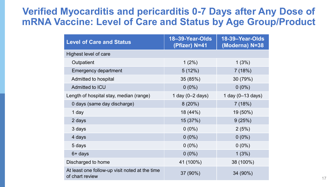#### **Verified Myocarditis and pericarditis 0-7 Days after Any Dose of mRNA Vaccine: Level of Care and Status by Age Group/Product**

| <b>Level of Care and Status</b>                                   | 18-39-Year-Olds<br>(Pfizer) N=41 | 18-39-Year-Olds<br>(Moderna) N=38 |  |  |
|-------------------------------------------------------------------|----------------------------------|-----------------------------------|--|--|
| Highest level of care                                             |                                  |                                   |  |  |
| Outpatient                                                        | $1(2\%)$                         | 1(3%)                             |  |  |
| <b>Emergency department</b>                                       | 5(12%)                           | 7(18%)                            |  |  |
| Admitted to hospital                                              | 35 (85%)                         | 30 (79%)                          |  |  |
| Admitted to ICU                                                   | $0(0\%)$                         | $0(0\%)$                          |  |  |
| Length of hospital stay, median (range)                           | 1 day $(0-2$ days)               | 1 day $(0-13$ days)               |  |  |
| 0 days (same day discharge)                                       | 8(20%)                           | 7(18%)                            |  |  |
| 1 day                                                             | 18 (44%)                         | 19 (50%)                          |  |  |
| 2 days                                                            | 15 (37%)                         | 9(25%)                            |  |  |
| 3 days                                                            | $0(0\%)$                         | 2(5%)                             |  |  |
| 4 days                                                            | $0(0\%)$                         | $0(0\%)$                          |  |  |
| 5 days                                                            | $0(0\%)$                         | $0(0\%)$                          |  |  |
| 6+ days                                                           | $0(0\%)$                         | 1(3%)                             |  |  |
| Discharged to home                                                | 41 (100%)                        | 38 (100%)                         |  |  |
| At least one follow-up visit noted at the time<br>of chart review | 37 (90%)                         | 34 (90%)                          |  |  |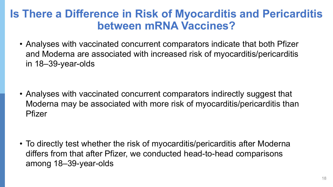### **Is There a Difference in Risk of Myocarditis and Pericarditis between mRNA Vaccines?**

• Analyses with vaccinated concurrent comparators indicate that both Pfizer and Moderna are associated with increased risk of myocarditis/pericarditis in 18–39-year-olds

• Analyses with vaccinated concurrent comparators indirectly suggest that Moderna may be associated with more risk of myocarditis/pericarditis than Pfizer

• To directly test whether the risk of myocarditis/pericarditis after Moderna differs from that after Pfizer, we conducted head-to-head comparisons among 18–39-year-olds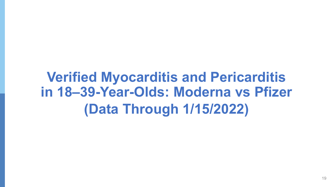## **Verified Myocarditis and Pericarditis in 18–39-Year-Olds: Moderna vs Pfizer (Data Through 1/15/2022)**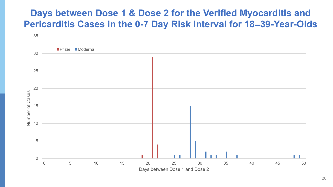#### **Days between Dose 1 & Dose 2 for the Verified Myocarditis and Pericarditis Cases in the 0-7 Day Risk Interval for 18–39-Year-Olds**

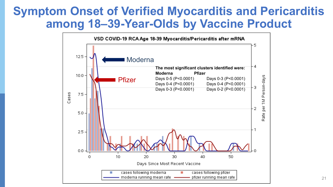### **Symptom Onset of Verified Myocarditis and Pericarditis among 18–39-Year-Olds by Vaccine Product**

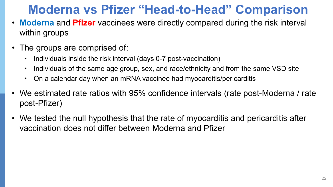## **Moderna vs Pfizer "Head-to-Head" Comparison**

- **Moderna** and **Pfizer** vaccinees were directly compared during the risk interval within groups
- The groups are comprised of:
	- Individuals inside the risk interval (days 0-7 post-vaccination)
	- Individuals of the same age group, sex, and race/ethnicity and from the same VSD site
	- On a calendar day when an mRNA vaccinee had myocarditis/pericarditis
- We estimated rate ratios with 95% confidence intervals (rate post-Moderna / rate post-Pfizer)
- We tested the null hypothesis that the rate of myocarditis and pericarditis after vaccination does not differ between Moderna and Pfizer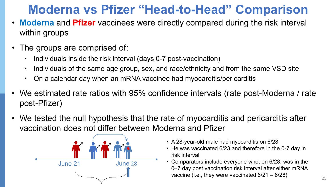## **Moderna vs Pfizer "Head-to-Head" Comparison**

- **Moderna** and **Pfizer** vaccinees were directly compared during the risk interval within groups
- The groups are comprised of:
	- Individuals inside the risk interval (days 0-7 post-vaccination)
	- Individuals of the same age group, sex, and race/ethnicity and from the same VSD site
	- On a calendar day when an mRNA vaccinee had myocarditis/pericarditis
- We estimated rate ratios with 95% confidence intervals (rate post-Moderna / rate post-Pfizer)
- We tested the null hypothesis that the rate of myocarditis and pericarditis after vaccination does not differ between Moderna and Pfizer



- A 28-year-old male had myocarditis on 6/28
- He was vaccinated 6/23 and therefore in the 0-7 day in risk interval
- Comparators include everyone who, on 6/28, was in the 0–7 day post vaccination risk interval after either mRNA vaccine (i.e., they were vaccinated  $6/21 - 6/28$ )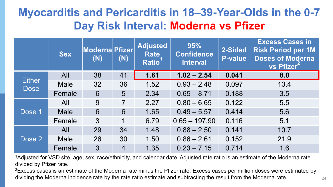### **Myocarditis and Pericarditis in 18–39-Year-Olds in the 0-7 Day Risk Interval: Moderna vs Pfizer**

|                              | <b>Sex</b>  | <b>Moderna Pfizer</b><br>(N) | (N)             | <b>Adjusted</b><br><b>Rate</b><br><b>Ratio</b> | 95%<br><b>Confidence</b><br><b>Interval</b> | 2-Sided<br><b>P-value</b> | <b>Excess Cases in</b><br><b>Risk Period per 1M</b><br><b>Doses of Moderna</b><br>vs Pfizer |
|------------------------------|-------------|------------------------------|-----------------|------------------------------------------------|---------------------------------------------|---------------------------|---------------------------------------------------------------------------------------------|
|                              | All         | 38                           | 41              | 1.61                                           | $1.02 - 2.54$                               | 0.041                     | 8.0                                                                                         |
| <b>Either</b><br><b>Dose</b> | <b>Male</b> | 32                           | 36              | 1.52                                           | $0.93 - 2.48$                               | 0.097                     | 13.4                                                                                        |
|                              | Female      | 6                            | $5\overline{)}$ | 2.34                                           | $0.65 - 8.71$                               | 0.188                     | 3.5                                                                                         |
|                              | All         | 9                            | $\overline{7}$  | 2.27                                           | $0.80 - 6.65$                               | 0.122                     | 5.5                                                                                         |
| Dose 1                       | <b>Male</b> | 6                            | 6               | 1.65                                           | $0.49 - 5.57$                               | 0.414                     | 5.6                                                                                         |
|                              | Female      | 3                            | 1               | 6.79                                           | $0.65 - 197.90$                             | 0.116                     | 5.1                                                                                         |
|                              | All         | 29                           | 34              | 1.48                                           | $0.88 - 2.50$                               | 0.141                     | 10.7                                                                                        |
| Dose 2                       | <b>Male</b> | 26                           | 30              | 1.50                                           | $0.86 - 2.61$                               | 0.152                     | 21.9                                                                                        |
|                              | Female      | $\mathfrak{S}$               | $\overline{4}$  | 1.35                                           | $0.23 - 7.15$                               | 0.714                     | 1.6                                                                                         |

<sup>1</sup>Adjusted for VSD site, age, sex, race/ethnicity, and calendar date. Adjusted rate ratio is an estimate of the Moderna rate divided by Pfizer rate.

<sup>2</sup>Excess cases is an estimate of the Moderna rate minus the Pfizer rate. Excess cases per million doses were estimated by dividing the Moderna incidence rate by the rate ratio estimate and subtracting the result from the Moderna rate.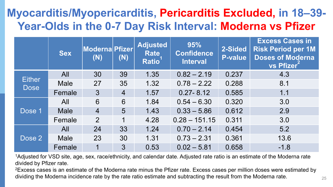### **Myocarditis/Myopericarditis, Pericarditis Excluded, in 18–39- Year-Olds in the 0-7 Day Risk Interval: Moderna vs Pfizer**

|                              | <b>Sex</b>  | <b>Moderna Pfizer</b><br>(N) | (N)            | <b>Adjusted</b><br><b>Rate</b><br><b>Ratio</b> | 95%<br><b>Confidence</b><br><b>Interval</b> | 2-Sided<br><b>P-value</b> | <b>Excess Cases in</b><br><b>Risk Period per 1M</b><br><b>Doses of Moderna</b><br>vs Pfizer <sup>-</sup> |
|------------------------------|-------------|------------------------------|----------------|------------------------------------------------|---------------------------------------------|---------------------------|----------------------------------------------------------------------------------------------------------|
|                              | All         | 30                           | 39             | 1.35                                           | $0.82 - 2.19$                               | 0.237                     | 4.3                                                                                                      |
| <b>Either</b><br><b>Dose</b> | <b>Male</b> | 27                           | 35             | 1.32                                           | $0.78 - 2.22$                               | 0.288                     | 8.1                                                                                                      |
|                              | Female      | $\mathfrak{Z}$               | $\overline{4}$ | 1.57                                           | $0.27 - 8.12$                               | 0.585                     | 1.1                                                                                                      |
|                              | All         | 6                            | 6              | 1.84                                           | $0.54 - 6.30$                               | 0.320                     | 3.0                                                                                                      |
| Dose 1                       | <b>Male</b> | $\overline{4}$               | 5              | 1.43                                           | $0.33 - 5.86$                               | 0.612                     | 2.9                                                                                                      |
|                              | Female      | $\overline{2}$               |                | 4.28                                           | $0.28 - 151.15$                             | 0.311                     | 3.0                                                                                                      |
|                              | All         | 24                           | 33             | 1.24                                           | $0.70 - 2.14$                               | 0.454                     | 5.2                                                                                                      |
| Dose 2                       | <b>Male</b> | 23                           | 30             | 1.31                                           | $0.73 - 2.31$                               | 0.361                     | 13.6                                                                                                     |
|                              | Female      |                              | $\mathfrak{B}$ | 0.53                                           | $0.02 - 5.81$                               | 0.658                     | $-1.8$                                                                                                   |

<sup>1</sup>Adjusted for VSD site, age, sex, race/ethnicity, and calendar date. Adjusted rate ratio is an estimate of the Moderna rate divided by Pfizer rate.

<sup>2</sup>Excess cases is an estimate of the Moderna rate minus the Pfizer rate. Excess cases per million doses were estimated by dividing the Moderna incidence rate by the rate ratio estimate and subtracting the result from the Moderna rate.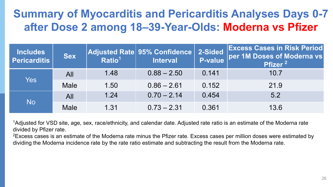### **Summary of Myocarditis and Pericarditis Analyses Days 0-7 after Dose 2 among 18–39-Year-Olds: Moderna vs Pfizer**

| <b>Includes</b><br><b>Sex</b><br><b>Pericarditis</b> |             | Ratio <sup>1</sup> | $\vert$ Adjusted Rate $\vert$ 95% Confidence $\vert$<br><b>Interval</b> | 2-Sided | <b>Excess Cases in Risk Period</b><br>P-value per 1M Doses of Moderna vs<br>Pfizer <sup>2</sup> |
|------------------------------------------------------|-------------|--------------------|-------------------------------------------------------------------------|---------|-------------------------------------------------------------------------------------------------|
| Yes                                                  | All         | 1.48               | $0.88 - 2.50$                                                           | 0.141   | 10.7                                                                                            |
|                                                      | <b>Male</b> | 1.50               | $0.86 - 2.61$                                                           | 0.152   | 21.9                                                                                            |
|                                                      | All         | 1.24               | $0.70 - 2.14$                                                           | 0.454   | 5.2                                                                                             |
| <b>No</b>                                            | <b>Male</b> | 1.31               | $0.73 - 2.31$                                                           | 0.361   | 13.6                                                                                            |

1Adjusted for VSD site, age, sex, race/ethnicity, and calendar date. Adjusted rate ratio is an estimate of the Moderna rate divided by Pfizer rate.

<sup>2</sup>Excess cases is an estimate of the Moderna rate minus the Pfizer rate. Excess cases per million doses were estimated by dividing the Moderna incidence rate by the rate ratio estimate and subtracting the result from the Moderna rate.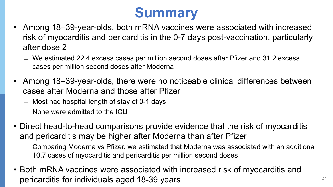## **Summary**

- Among 18–39-year-olds, both mRNA vaccines were associated with increased risk of myocarditis and pericarditis in the 0-7 days post-vaccination, particularly after dose 2
	- ̶ We estimated 22.4 excess cases per million second doses after Pfizer and 31.2 excess cases per million second doses after Moderna
- Among 18–39-year-olds, there were no noticeable clinical differences between cases after Moderna and those after Pfizer
	- ̶ Most had hospital length of stay of 0-1 days
	- ̶ None were admitted to the ICU
- Direct head-to-head comparisons provide evidence that the risk of myocarditis and pericarditis may be higher after Moderna than after Pfizer
	- ̶ Comparing Moderna vs Pfizer, we estimated that Moderna was associated with an additional 10.7 cases of myocarditis and pericarditis per million second doses
- Both mRNA vaccines were associated with increased risk of myocarditis and pericarditis for individuals aged 18-39 years